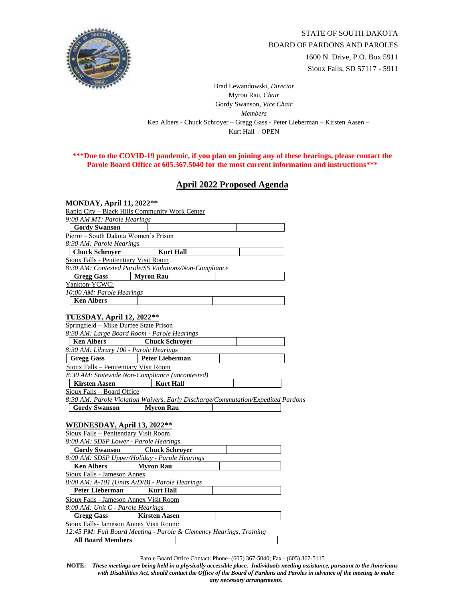

Brad Lewandowski, *Director* Myron Rau, *Chair*  Gordy Swanson, *Vice Chair Members* Ken Albers - Chuck Schroyer – Gregg Gass - Peter Lieberman – Kirsten Aasen – Kurt Hall – OPEN

## **\*\*\*Due to the COVID-19 pandemic, if you plan on joining any of these hearings, please contact the Parole Board Office at 605.367.5040 for the most current information and instructions\*\*\***

## **April 2022 Proposed Agenda**

| <b>MONDAY, April 11, 2022**</b>                 |                                                                                  |
|-------------------------------------------------|----------------------------------------------------------------------------------|
|                                                 | Rapid City – Black Hills Community Work Center                                   |
| 9:00 AM MT: Parole Hearings                     |                                                                                  |
| <b>Gordy Swanson</b>                            |                                                                                  |
| Pierre - South Dakota Women's Prison            |                                                                                  |
| 8:30 AM: Parole Hearings                        |                                                                                  |
| <b>Chuck Schroyer</b>                           | <b>Kurt Hall</b>                                                                 |
| <b>Sioux Falls - Penitentiary Visit Room</b>    |                                                                                  |
|                                                 | 8:30 AM: Contested Parole/SS Violations/Non-Compliance                           |
| <b>Gregg Gass</b>                               | <b>Myron Rau</b>                                                                 |
| Yankton-YCWC:                                   |                                                                                  |
| 10:00 AM: Parole Hearings                       |                                                                                  |
| <b>Ken Albers</b>                               |                                                                                  |
|                                                 |                                                                                  |
| <b>TUESDAY, April 12, 2022**</b>                |                                                                                  |
| Springfield – Mike Durfee State Prison          |                                                                                  |
| 8:30 AM: Large Board Room - Parole Hearings     |                                                                                  |
| <b>Ken Albers</b>                               | <b>Chuck Schrover</b>                                                            |
| 8:30 AM: Library 100 - Parole Hearings          |                                                                                  |
| <b>Gregg Gass</b>                               | <b>Peter Lieberman</b>                                                           |
| Sioux Falls - Penitentiary Visit Room           |                                                                                  |
| 8:30 AM: Statewide Non-Compliance (uncontested) |                                                                                  |
| <b>Kirsten Aasen</b>                            | <b>Kurt Hall</b>                                                                 |
| Sioux Falls - Board Office                      |                                                                                  |
|                                                 | 8:30 AM: Parole Violation Waivers, Early Discharge/Commutation/Expedited Pardons |
| <b>Gordy Swanson</b>                            | <b>Myron Rau</b>                                                                 |
|                                                 |                                                                                  |
| <b>WEDNESDAY, April 13, 2022**</b>              |                                                                                  |
| Sioux Falls - Penitentiary Visit Room           |                                                                                  |
| 8:00 AM: SDSP Lower - Parole Hearings           |                                                                                  |
| <b>Gordy Swanson</b>                            | <b>Chuck Schroyer</b>                                                            |
|                                                 | 8:00 AM: SDSP Upper/Holiday - Parole Hearings                                    |
| <b>Ken Albers</b>                               | <b>Myron Rau</b>                                                                 |
| Sioux Falls - Jameson Annex                     |                                                                                  |
|                                                 | 8:00 AM: A-101 (Units A/D/B) - Parole Hearings                                   |
| Peter Lieberman                                 | <b>Kurt Hall</b>                                                                 |
| Sioux Falls - Jameson Annex Visit Room          |                                                                                  |
| 8:00 AM: Unit C - Parole Hearings               |                                                                                  |
| <b>Gregg Gass</b>                               | Kirsten Aasen                                                                    |
| Sioux Falls- Jameson Annex Visit Room:          |                                                                                  |
|                                                 | 12:45 PM: Full Board Meeting - Parole & Clemency Hearings, Training              |
| <b>All Board Members</b>                        |                                                                                  |

Parole Board Office Contact: Phone- (605) 367-5040; Fax - (605) 367-5115

**NOTE:** *These meetings are being held in a physically accessible place*. *Individuals needing assistance, pursuant to the Americans with Disabilities Act, should contact the Office of the Board of Pardons and Paroles in advance of the meeting to make any necessary arrangements.*